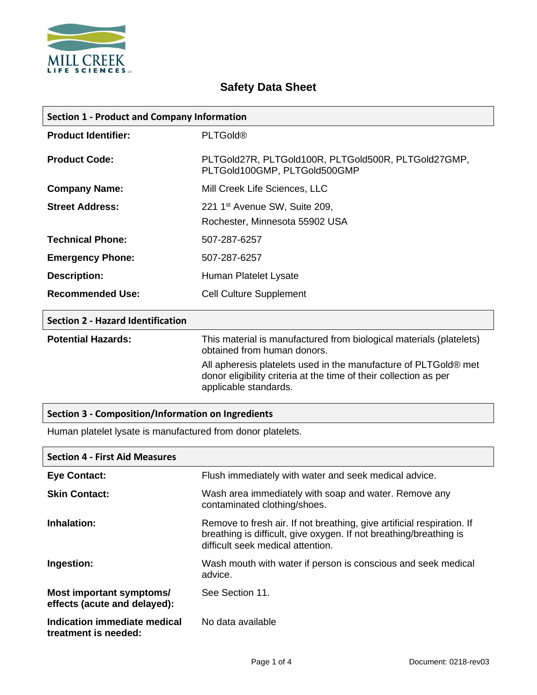

| <b>Section 1 - Product and Company Information</b> |                                                                                     |
|----------------------------------------------------|-------------------------------------------------------------------------------------|
| <b>Product Identifier:</b>                         | <b>PLTGold®</b>                                                                     |
| <b>Product Code:</b>                               | PLTGold27R, PLTGold100R, PLTGold500R, PLTGold27GMP,<br>PLTGold100GMP, PLTGold500GMP |
| <b>Company Name:</b>                               | Mill Creek Life Sciences, LLC                                                       |
| <b>Street Address:</b>                             | 221 1 <sup>st</sup> Avenue SW, Suite 209,<br>Rochester, Minnesota 55902 USA         |
| <b>Technical Phone:</b>                            | 507-287-6257                                                                        |
| <b>Emergency Phone:</b>                            | 507-287-6257                                                                        |
| <b>Description:</b>                                | Human Platelet Lysate                                                               |
| <b>Recommended Use:</b>                            | <b>Cell Culture Supplement</b>                                                      |
| <b>Section 2 - Hazard Identification</b>           |                                                                                     |

# **Safety Data Sheet**

**Potential Hazards:** This material is manufactured from biological materials (platelets) obtained from human donors. All apheresis platelets used in the manufacture of PLTGold® met donor eligibility criteria at the time of their collection as per applicable standards.

#### **Section 3 - Composition/Information on Ingredients**

Human platelet lysate is manufactured from donor platelets.

| <b>Section 4 - First Aid Measures</b>                    |                                                                                                                                                                                   |
|----------------------------------------------------------|-----------------------------------------------------------------------------------------------------------------------------------------------------------------------------------|
| <b>Eye Contact:</b>                                      | Flush immediately with water and seek medical advice.                                                                                                                             |
| <b>Skin Contact:</b>                                     | Wash area immediately with soap and water. Remove any<br>contaminated clothing/shoes.                                                                                             |
| Inhalation:                                              | Remove to fresh air. If not breathing, give artificial respiration. If<br>breathing is difficult, give oxygen. If not breathing/breathing is<br>difficult seek medical attention. |
| Ingestion:                                               | Wash mouth with water if person is conscious and seek medical<br>advice.                                                                                                          |
| Most important symptoms/<br>effects (acute and delayed): | See Section 11.                                                                                                                                                                   |
| Indication immediate medical<br>treatment is needed:     | No data available                                                                                                                                                                 |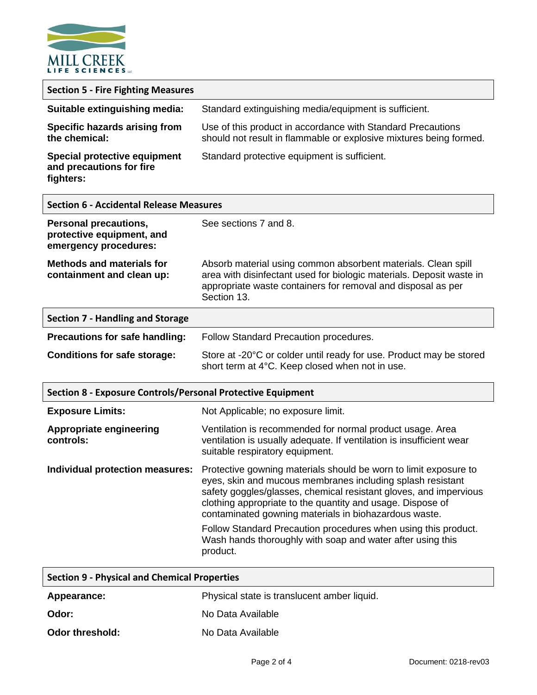

| <b>Section 5 - Fire Fighting Measures</b>                                          |                                                                                                                                                                                                                                                                                                                            |
|------------------------------------------------------------------------------------|----------------------------------------------------------------------------------------------------------------------------------------------------------------------------------------------------------------------------------------------------------------------------------------------------------------------------|
| Suitable extinguishing media:                                                      | Standard extinguishing media/equipment is sufficient.                                                                                                                                                                                                                                                                      |
| Specific hazards arising from<br>the chemical:                                     | Use of this product in accordance with Standard Precautions<br>should not result in flammable or explosive mixtures being formed.                                                                                                                                                                                          |
| Special protective equipment<br>and precautions for fire<br>fighters:              | Standard protective equipment is sufficient.                                                                                                                                                                                                                                                                               |
| <b>Section 6 - Accidental Release Measures</b>                                     |                                                                                                                                                                                                                                                                                                                            |
| <b>Personal precautions,</b><br>protective equipment, and<br>emergency procedures: | See sections 7 and 8.                                                                                                                                                                                                                                                                                                      |
| <b>Methods and materials for</b><br>containment and clean up:                      | Absorb material using common absorbent materials. Clean spill<br>area with disinfectant used for biologic materials. Deposit waste in<br>appropriate waste containers for removal and disposal as per<br>Section 13.                                                                                                       |
| <b>Section 7 - Handling and Storage</b>                                            |                                                                                                                                                                                                                                                                                                                            |
| Precautions for safe handling:                                                     | Follow Standard Precaution procedures.                                                                                                                                                                                                                                                                                     |
| <b>Conditions for safe storage:</b>                                                | Store at -20°C or colder until ready for use. Product may be stored<br>short term at 4°C. Keep closed when not in use.                                                                                                                                                                                                     |
| <b>Section 8 - Exposure Controls/Personal Protective Equipment</b>                 |                                                                                                                                                                                                                                                                                                                            |
| <b>Exposure Limits:</b>                                                            | Not Applicable; no exposure limit.                                                                                                                                                                                                                                                                                         |
| <b>Appropriate engineering</b><br>controls:                                        | Ventilation is recommended for normal product usage. Area<br>ventilation is usually adequate. If ventilation is insufficient wear<br>suitable respiratory equipment.                                                                                                                                                       |
| Individual protection measures:                                                    | Protective gowning materials should be worn to limit exposure to<br>eyes, skin and mucous membranes including splash resistant<br>safety goggles/glasses, chemical resistant gloves, and impervious<br>clothing appropriate to the quantity and usage. Dispose of<br>contaminated gowning materials in biohazardous waste. |
|                                                                                    | Follow Standard Precaution procedures when using this product.<br>Wash hands thoroughly with soap and water after using this<br>product.                                                                                                                                                                                   |
| <b>Section 9 - Physical and Chemical Properties</b>                                |                                                                                                                                                                                                                                                                                                                            |

| Appearance:     | Physical state is translucent amber liquid. |
|-----------------|---------------------------------------------|
| Odor:           | No Data Available                           |
| Odor threshold: | No Data Available                           |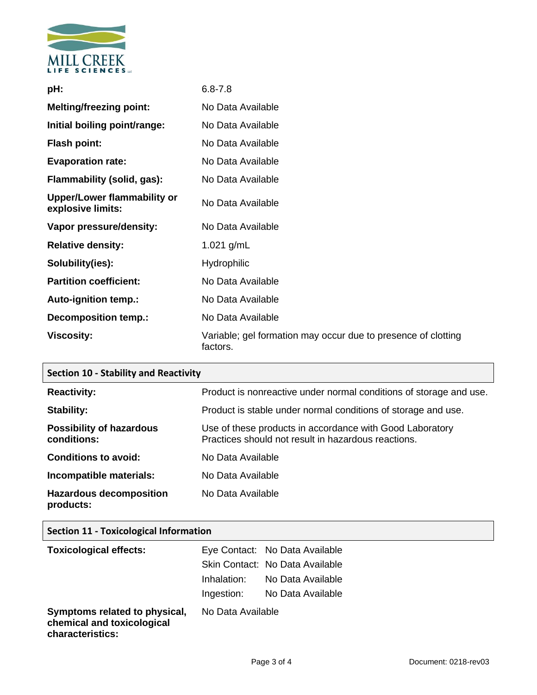

| pH:                                              | $6.8 - 7.8$                                                               |
|--------------------------------------------------|---------------------------------------------------------------------------|
| <b>Melting/freezing point:</b>                   | No Data Available                                                         |
| Initial boiling point/range:                     | No Data Available                                                         |
| <b>Flash point:</b>                              | No Data Available                                                         |
| <b>Evaporation rate:</b>                         | No Data Available                                                         |
| Flammability (solid, gas):                       | No Data Available                                                         |
| Upper/Lower flammability or<br>explosive limits: | No Data Available                                                         |
| Vapor pressure/density:                          | No Data Available                                                         |
| <b>Relative density:</b>                         | 1.021 $g/mL$                                                              |
| Solubility(ies):                                 | <b>Hydrophilic</b>                                                        |
| <b>Partition coefficient:</b>                    | No Data Available                                                         |
| <b>Auto-ignition temp.:</b>                      | No Data Available                                                         |
| <b>Decomposition temp.:</b>                      | No Data Available                                                         |
| <b>Viscosity:</b>                                | Variable; gel formation may occur due to presence of clotting<br>factors. |

| <b>Section 10 - Stability and Reactivity</b>   |                                                                                                                 |
|------------------------------------------------|-----------------------------------------------------------------------------------------------------------------|
| <b>Reactivity:</b>                             | Product is nonreactive under normal conditions of storage and use.                                              |
| Stability:                                     | Product is stable under normal conditions of storage and use.                                                   |
| <b>Possibility of hazardous</b><br>conditions: | Use of these products in accordance with Good Laboratory<br>Practices should not result in hazardous reactions. |
| <b>Conditions to avoid:</b>                    | No Data Available                                                                                               |
| Incompatible materials:                        | No Data Available                                                                                               |
| <b>Hazardous decomposition</b><br>products:    | No Data Available                                                                                               |

### **Section 11 - Toxicological Information**

| <b>Toxicological effects:</b>                               |                   | Eye Contact: No Data Available  |
|-------------------------------------------------------------|-------------------|---------------------------------|
|                                                             |                   | Skin Contact: No Data Available |
|                                                             | Inhalation:       | No Data Available               |
|                                                             | Ingestion:        | No Data Available               |
| Symptoms related to physical,<br>chemical and toxicological | No Data Available |                                 |

**characteristics:**